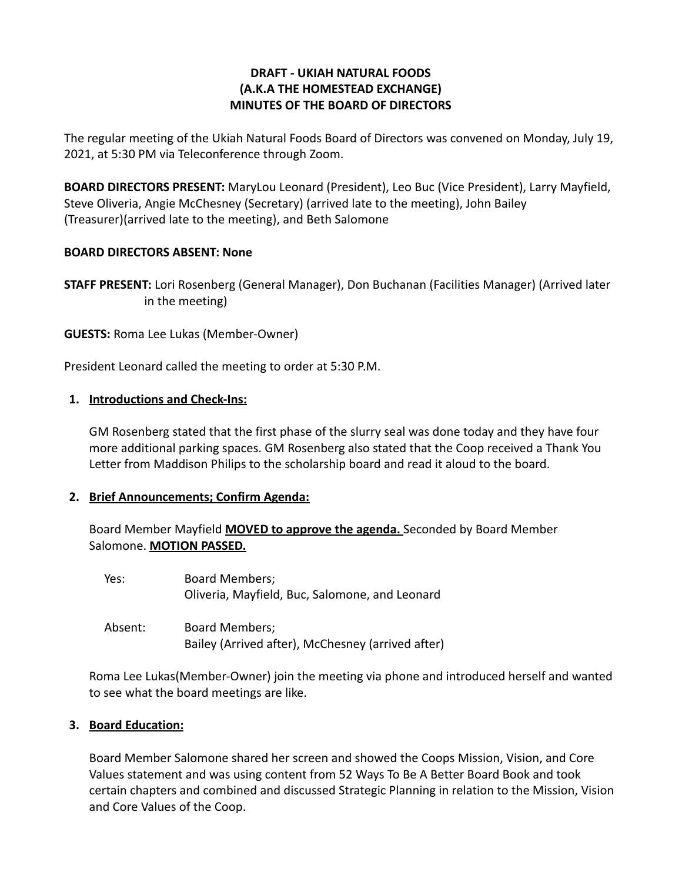## **DRAFT - UKIAH NATURAL FOODS (A.K.A THE HOMESTEAD EXCHANGE) MINUTES OF THE BOARD OF DIRECTORS**

The regular meeting of the Ukiah Natural Foods Board of Directors was convened on Monday, July 19, 2021, at 5:30 PM via Teleconference through Zoom.

**BOARD DIRECTORS PRESENT:** MaryLou Leonard (President), Leo Buc (Vice President), Larry Mayfield, Steve Oliveria, Angie McChesney (Secretary) (arrived late to the meeting), John Bailey (Treasurer)(arrived late to the meeting), and Beth Salomone

### **BOARD DIRECTORS ABSENT: None**

**STAFF PRESENT:** Lori Rosenberg (General Manager), Don Buchanan (Facilities Manager) (Arrived later in the meeting)

**GUESTS:** Roma Lee Lukas (Member-Owner)

President Leonard called the meeting to order at 5:30 P.M.

### **1. Introductions and Check-Ins:**

GM Rosenberg stated that the first phase of the slurry seal was done today and they have four more additional parking spaces. GM Rosenberg also stated that the Coop received a Thank You Letter from Maddison Philips to the scholarship board and read it aloud to the board.

#### **2. Brief Announcements; Confirm Agenda:**

Board Member Mayfield **MOVED to approve the agenda.** Seconded by Board Member Salomone. **MOTION PASSED.**

| Yes:    | <b>Board Members;</b><br>Oliveria, Mayfield, Buc, Salomone, and Leonard    |
|---------|----------------------------------------------------------------------------|
| Absent: | <b>Board Members;</b><br>Bailey (Arrived after), McChesney (arrived after) |

Roma Lee Lukas(Member-Owner) join the meeting via phone and introduced herself and wanted to see what the board meetings are like.

# **3. Board Education:**

Board Member Salomone shared her screen and showed the Coops Mission, Vision, and Core Values statement and was using content from 52 Ways To Be A Better Board Book and took certain chapters and combined and discussed Strategic Planning in relation to the Mission, Vision and Core Values of the Coop.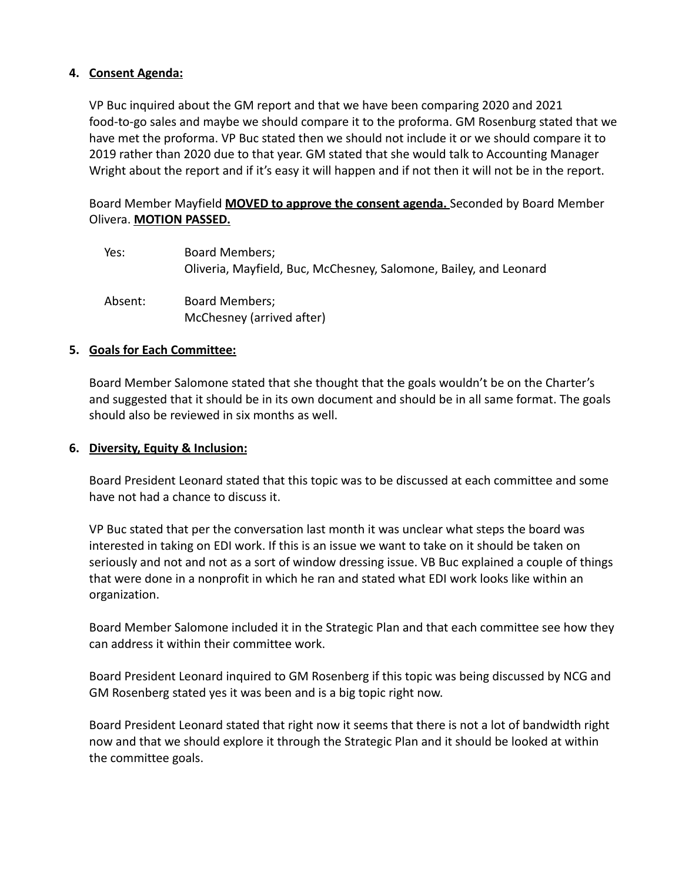### **4. Consent Agenda:**

VP Buc inquired about the GM report and that we have been comparing 2020 and 2021 food-to-go sales and maybe we should compare it to the proforma. GM Rosenburg stated that we have met the proforma. VP Buc stated then we should not include it or we should compare it to 2019 rather than 2020 due to that year. GM stated that she would talk to Accounting Manager Wright about the report and if it's easy it will happen and if not then it will not be in the report.

Board Member Mayfield **MOVED to approve the consent agenda.** Seconded by Board Member Olivera. **MOTION PASSED.**

| Yes:    | Board Members;<br>Oliveria, Mayfield, Buc, McChesney, Salomone, Bailey, and Leonard |
|---------|-------------------------------------------------------------------------------------|
| Absent: | Board Members;<br>McChesney (arrived after)                                         |

#### **5. Goals for Each Committee:**

Board Member Salomone stated that she thought that the goals wouldn't be on the Charter's and suggested that it should be in its own document and should be in all same format. The goals should also be reviewed in six months as well.

#### **6. Diversity, Equity & Inclusion:**

Board President Leonard stated that this topic was to be discussed at each committee and some have not had a chance to discuss it.

VP Buc stated that per the conversation last month it was unclear what steps the board was interested in taking on EDI work. If this is an issue we want to take on it should be taken on seriously and not and not as a sort of window dressing issue. VB Buc explained a couple of things that were done in a nonprofit in which he ran and stated what EDI work looks like within an organization.

Board Member Salomone included it in the Strategic Plan and that each committee see how they can address it within their committee work.

Board President Leonard inquired to GM Rosenberg if this topic was being discussed by NCG and GM Rosenberg stated yes it was been and is a big topic right now.

Board President Leonard stated that right now it seems that there is not a lot of bandwidth right now and that we should explore it through the Strategic Plan and it should be looked at within the committee goals.